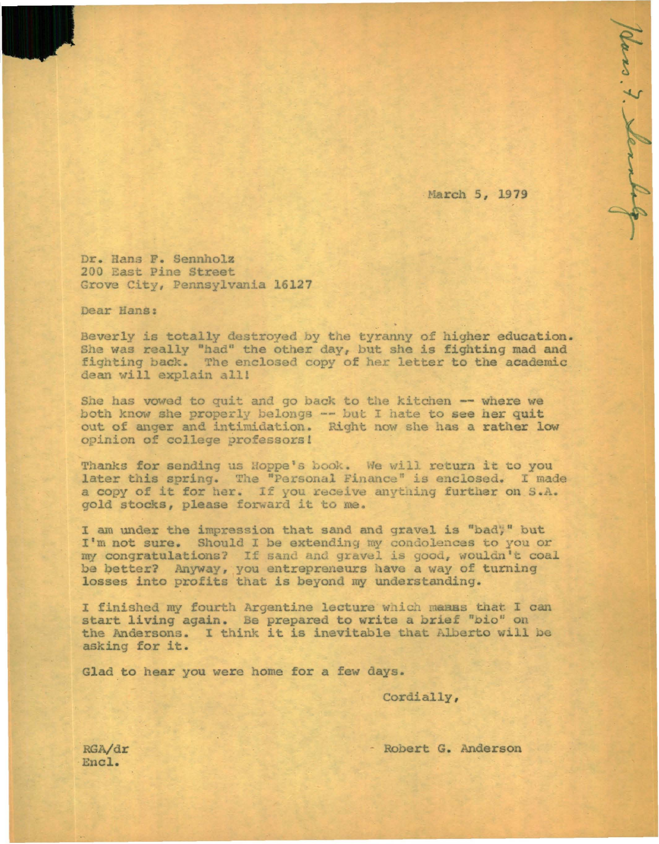March 5, 1979

7. Slenbe

Dr. Hans F. Sennholz 200 East Pine Street Grove City, Pennsylvania 16127

Dear Hans:

Beverly is totally destroyed by the tyranny of higher education. She was really "had" the other day, but she is fighting mad and fighting back. The enclosed copy of her letter to the academic dean will explain all!

She has vowed to quit and go back to the kitchen -- where we both know she properly belongs -- but I hate to see her quit out of anger and intimidation. Right now she has a rather low opinion of college professors!

Thanks for sending us Hoppe's book. We will return it to you later this spring. The "Personal Finance" is enclosed. I made a copy of it for her. If you receive anything further on S.A. gold stocks, please forward it to me.

I am under the impression that sand and gravel is "bady" but I'm not sure. Should I be extending my condolences to you or my congratulations? If sand and gravel is good, wouldn't coal be better? Anyway, you entrepreneurs have a way of turning losses into profits that is beyond my understanding.

I finished my fourth Argentine lecture which manus that I can start living again. Be prepared to write a brief "bio" on the Andersons. I think it is inevitable that Alberto will be asking for it.

Glad to hear you were home for a few days.

Cordially,

- Robert G. Anderson

RGA/dr Encl.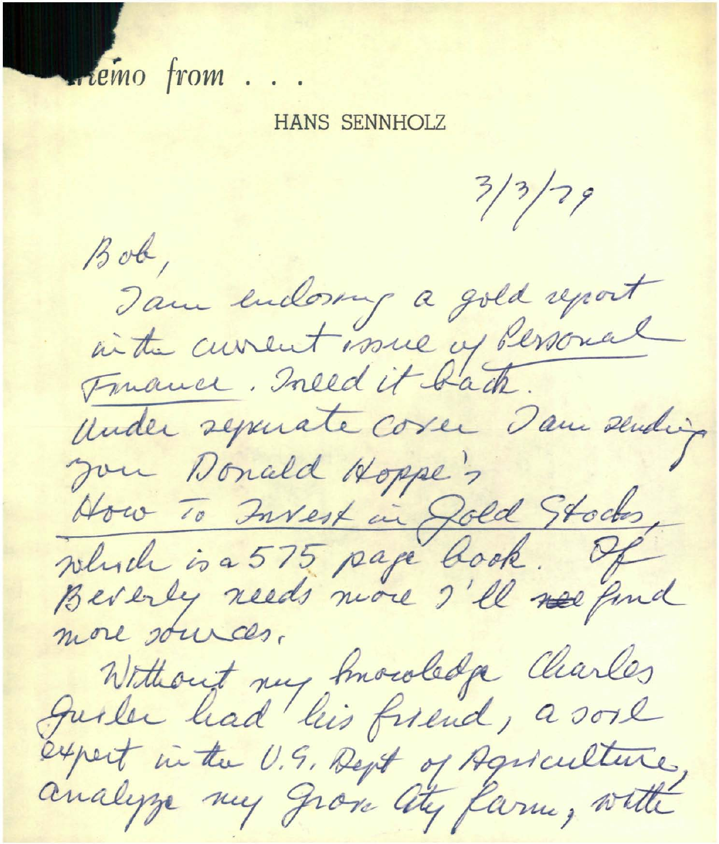Frémo from ...

## **HANS SENNHOLZ**

 $3/3/79$  $Bob,$ Tam endorry a gold report in the current work of dessonal Twance. Ineed it back. Under separate corer dans sending you Donald Hoppe's How To Invest in Jold Stocks, more sources, Without my Imowledge Charles<br>Juster had his friend, a sore expert in the U.S. Dept of Agriculture,